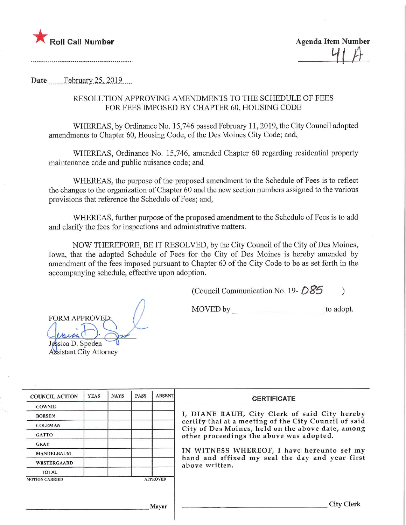

Agenda Item Number  $4A$ 

......................................

Date  $\qquad$  February 25, 2019...

## RESOLUTION APPROVING AMENDMENTS TO THE SCHEDULE OF FEES FOR FEES IMPOSED BY CHAPTER 60, HOUSING CODE

WHEREAS, by Ordinance No. 15,746 passed February 11, 2019, the City Council adopted amendments to Chapter 60, Housing Code, of the Des Moines City Code; and,

WHEREAS, Ordinance No. 15,746, amended Chapter 60 regarding residential property maintenance code and public nuisance code; and

WHEREAS, the purpose of the proposed amendment to the Schedule of Fees is to reflect the changes to the organization of Chapter 60 and the new section numbers assigned to the various provisions that reference the Schedule of Fees; and,

WHEREAS, further purpose of the proposed amendment to the Schedule of Fees is to add and clarify the fees for inspections and administrative matters.

NOW THEREFORE, BE IT RESOLVED, by the City Council of the City of Des Moines, Iowa, that the adopted Schedule of Fees for the City of Des Moines is hereby amended by amendment of the fees imposed pursuant to Chapter 60 of the City Code to be as set forth in the accompanying schedule, effective upon adoption.

(Council Communication No. 19- $DS5$ )

MOVED by \_ to adopt. FORM APPROVED;  $\wedge$   $\wedge$  $\mathcal{M}(\mathcal{M}(\mathcal{C}))$  ;  $\mathcal{M}$  $\blacktriangleright$ 

Jessica D. Spoden Assistant City Attorney

COUNCIL ACTION **COWNIE** BOESEN COLEMAN **GATTO** GRAY MANDELBAUM WESTERGAARD TOTAL YEAS MOTION CARRIED NAYS PASS **APPROVED** ,1 layor **ABSENT CERTIFICATE** I, DIANE RAUH/ City Clerk of said City hereby certify that at a meeting of the City Council of said City of Des Moines, held on the above date, among other proceedings the above was adopted. IN WITNESS WHEREOF, I have hereunto set my hand and affixed my seal the day and year first above written. City Clerk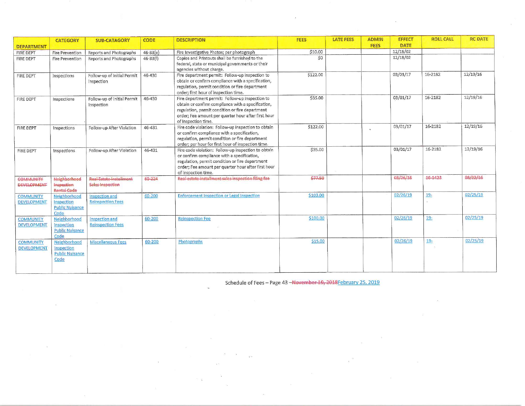|                                        | <b>CATEGORY</b>                                              | <b>SUB-CATAGORY</b>                                       | <b>CODE</b>  | <b>DESCRIPTION</b>                                                                                                                                                                                                                     | FEES     | <b>LATE FEES</b> | <b>ADMIN</b> | <b>EFFECT</b> | <b>ROLL CALL</b> | <b>RC DATE</b> |
|----------------------------------------|--------------------------------------------------------------|-----------------------------------------------------------|--------------|----------------------------------------------------------------------------------------------------------------------------------------------------------------------------------------------------------------------------------------|----------|------------------|--------------|---------------|------------------|----------------|
| <b>DEPARTMENT</b>                      |                                                              |                                                           |              |                                                                                                                                                                                                                                        |          |                  | <b>FEES</b>  | <b>DATE</b>   |                  |                |
| FIRE DEPT                              | Fire Prevention                                              | Reports and Photographs                                   | $46 - 33(e)$ | Fire Investigative Photos; per photograph                                                                                                                                                                                              | \$10.00  |                  |              | 12/18/02      |                  |                |
| FIRE DEPT                              | Fire Prevention                                              | Reports and Photographs                                   | $46 - 33(f)$ | Copies and Printouts shall be furnished to the<br>federal, state or municipal governments or their<br>agencies without charge.                                                                                                         | \$0      |                  |              | 12/18/02      |                  |                |
| FIRE DEPT                              | Inspections                                                  | Follow-up of Initial Permit<br>Inspection                 | 46-430       | Fire department permit: Follow-up inspection to<br>obtain or confirm compliance with a specification,<br>regulation, permit condition or fire department<br>order; first hour of inspection time.                                      | \$122.00 |                  |              | 03/01/17      | 16-2182          | 12/19/16       |
| FIRE DEPT                              | Inspections                                                  | Follow-up of Initial Permit<br>Inspection                 | 46-430       | Fire department permit: Follow-up inspection to<br>obtain or confirm compliance with a specification,<br>regulation, permit condition or fire department<br>order; Fee amount per quarter hour after first hour<br>of inspection time. | \$35.00  |                  |              | 03/01/17      | 16-2182          | 12/19/16       |
| FIRE DEPT                              | Inspections                                                  | Follow-up After Violation                                 | 46-431       | Fire code violation: Follow-up inspection to obtain<br>or confirm compliance with a specification,<br>regulation, permit condition or fire department<br>order; per hour for first hour of inspection time.                            | \$122.00 |                  |              | 03/01/17      | 16-2182          | 12/19/16       |
| <b>FIRE DEPT</b>                       | Inspections                                                  | Follow-up After Violation                                 | 46-431       | Fire code violation: Follow-up inspection to obtain<br>or confirm compliance with a specification,<br>regulation, permit condition or fire department<br>order; Fee amount per quarter hour after first hour<br>of inspection time.    | \$35.00  |                  |              | 03/01/17      | 16-2182          | 12/19/16       |
| <b>COMMUNITY</b><br><b>DEVELOPMENT</b> | Neighborhood<br>Inspection<br><b>Rental Code</b>             | <b>Real-Estate Installment</b><br><b>Sales Inspection</b> | 60-224       | Real estate-installment sales-inspection filing fee                                                                                                                                                                                    | \$77.50  |                  |              | 08/26/16      | 16-1423          | 08/22/16       |
| <b>COMMUNITY</b><br><b>DEVELOPMENT</b> | Neighborhood<br>Inspection<br><b>Public Nuisance</b><br>Code | Inspection and<br><b>Reinspection Fees</b>                | 60-200       | Enforcement Inspection or Legal Inspection                                                                                                                                                                                             | \$103.00 |                  |              | 02/26/19      | $19 -$           | 02/25/19       |
| <b>COMMUNITY</b><br><b>DEVELOPMENT</b> | Neighborhood<br>Inspection<br><b>Public Nuisance</b><br>Code | Inspection and<br><b>Reinspection Fees</b>                | 60-200       | <b>Reinspection Fee</b>                                                                                                                                                                                                                | \$100.00 |                  |              | 02/26/19      | $19 -$           | 02/25/19       |
| <b>COMMUNITY</b><br><b>DEVELOPMENT</b> | Neighborhood<br>Inspection<br><b>Public Nuisance</b><br>Code | Miscellaneous Fees                                        | 60-200       | Photographs                                                                                                                                                                                                                            | \$15.00  |                  |              | 02/26/19      | $19 -$           | 02/25/19       |

 $\bar{\chi}$ 

Schedule of Fees - Page 43 - November 19, 2018February 25, 2019